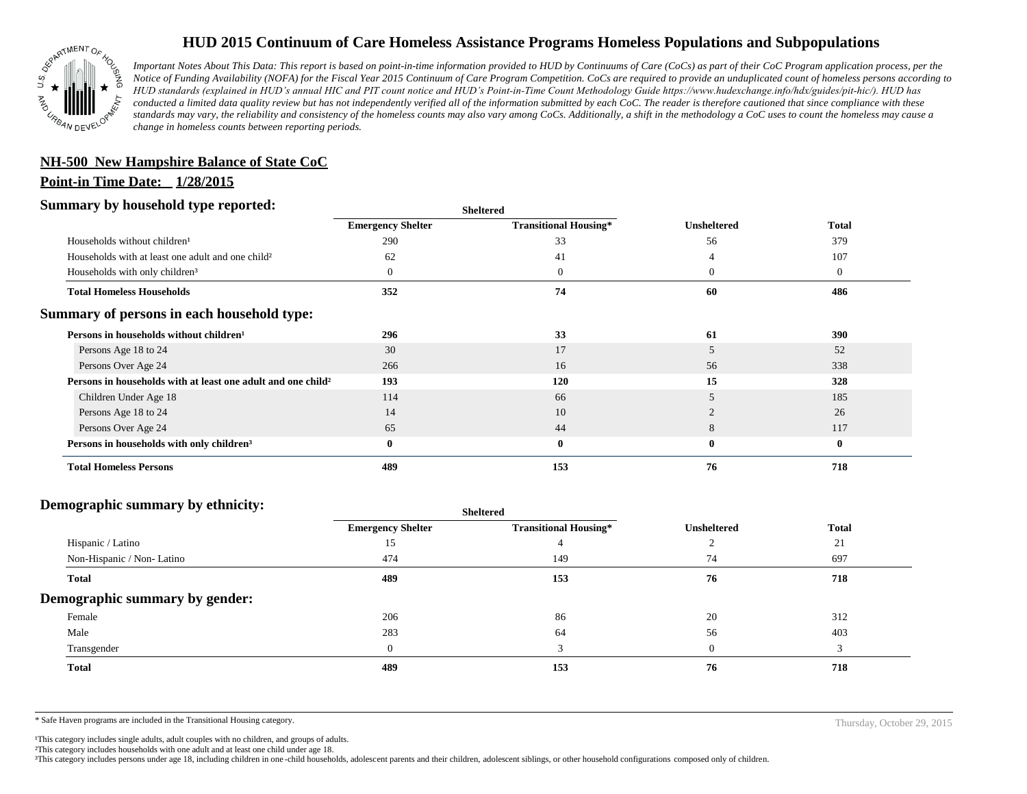

# **HUD 2015 Continuum of Care Homeless Assistance Programs Homeless Populations and Subpopulations**

*Important Notes About This Data: This report is based on point-in-time information provided to HUD by Continuums of Care (CoCs) as part of their CoC Program application process, per the Notice of Funding Availability (NOFA) for the Fiscal Year 2015 Continuum of Care Program Competition. CoCs are required to provide an unduplicated count of homeless persons according to HUD standards (explained in HUD's annual HIC and PIT count notice and HUD's Point-in-Time Count Methodology Guide https://www.hudexchange.info/hdx/guides/pit-hic/). HUD has conducted a limited data quality review but has not independently verified all of the information submitted by each CoC. The reader is therefore cautioned that since compliance with these*  standards may vary, the reliability and consistency of the homeless counts may also vary among CoCs. Additionally, a shift in the methodology a CoC uses to count the homeless may cause a *change in homeless counts between reporting periods.*

### **NH-500 New Hampshire Balance of State CoC**

#### **Point-in Time Date: 1/28/2015**

#### **Summary by household type reported:**

| эшппагу бу поизепою туре герогіесі:                                      | <b>Sheltered</b>         |                              |                    |                |
|--------------------------------------------------------------------------|--------------------------|------------------------------|--------------------|----------------|
|                                                                          | <b>Emergency Shelter</b> | <b>Transitional Housing*</b> | <b>Unsheltered</b> | <b>Total</b>   |
| Households without children <sup>1</sup>                                 | 290                      | 33                           | 56                 | 379            |
| Households with at least one adult and one child <sup>2</sup>            | 62                       | 41                           |                    | 107            |
| Households with only children <sup>3</sup>                               |                          | $\overline{0}$               | $\overline{0}$     | $\overline{0}$ |
| <b>Total Homeless Households</b>                                         | 352                      | 74                           | 60                 | 486            |
| Summary of persons in each household type:                               |                          |                              |                    |                |
| Persons in households without children <sup>1</sup>                      | 296                      | 33                           | 61                 | 390            |
| Persons Age 18 to 24                                                     | 30                       | 17                           | 5                  | 52             |
| Persons Over Age 24                                                      | 266                      | 16                           | 56                 | 338            |
| Persons in households with at least one adult and one child <sup>2</sup> | 193                      | 120                          | 15                 | 328            |
| Children Under Age 18                                                    | 114                      | 66                           | 5                  | 185            |
| Persons Age 18 to 24                                                     | 14                       | 10                           |                    | 26             |
| Persons Over Age 24                                                      | 65                       | 44                           | 8                  | 117            |
| Persons in households with only children <sup>3</sup>                    | $\mathbf{0}$             | $\bf{0}$                     | $\bf{0}$           | $\bf{0}$       |
| <b>Total Homeless Persons</b>                                            | 489                      | 153                          | 76                 | 718            |

#### **Demographic summary by ethnicity:**

| $\overline{\phantom{a}}$<br>. .<br>$\bullet$<br>$\ddot{\phantom{1}}$ | Sneitered                |                              |                    |              |
|----------------------------------------------------------------------|--------------------------|------------------------------|--------------------|--------------|
|                                                                      | <b>Emergency Shelter</b> | <b>Transitional Housing*</b> | <b>Unsheltered</b> | <b>Total</b> |
| Hispanic / Latino                                                    | 15                       |                              |                    | 21           |
| Non-Hispanic / Non-Latino                                            | 474                      | 149                          | 74                 | 697          |
| <b>Total</b>                                                         | 489                      | 153                          | 76                 | 718          |
| Demographic summary by gender:                                       |                          |                              |                    |              |
| Female                                                               | 206                      | 86                           | 20                 | 312          |
| Male                                                                 | 283                      | 64                           | 56                 | 403          |
| Transgender                                                          | $\overline{0}$           | $\mathbf{c}$                 | $\theta$           | 3            |
| <b>Total</b>                                                         | 489                      | 153                          | 76                 | 718          |

**Sheltered**

\* Safe Haven programs are included in the Transitional Housing category. Thursday, October 29, 2015

<sup>1</sup>This category includes single adults, adult couples with no children, and groups of adults.

²This category includes households with one adult and at least one child under age 18.

³This category includes persons under age 18, including children in one -child households, adolescent parents and their children, adolescent siblings, or other household configurations composed only of children.